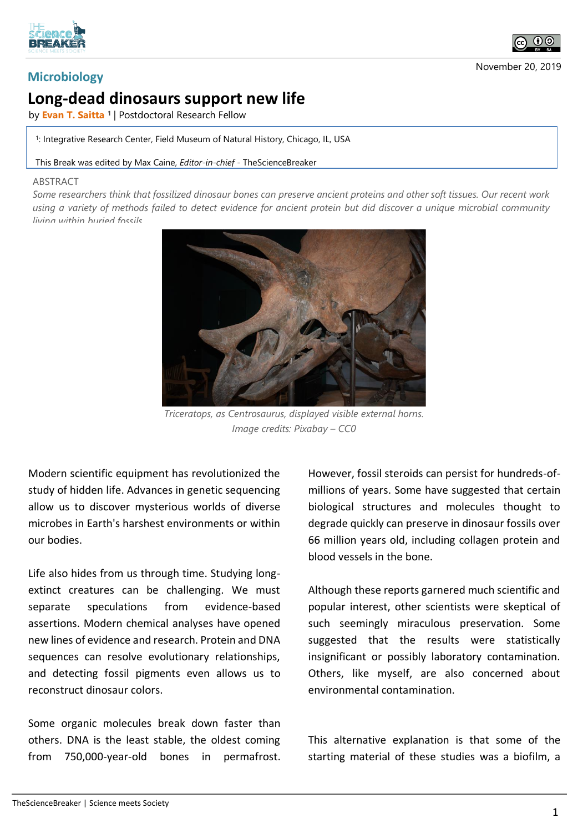



## **Microbiology**

## **Long-dead dinosaurs support new life**

by **Evan T. Saitta <sup>1</sup>** | Postdoctoral Research Fellow

1 : Integrative Research Center, Field Museum of Natural History, Chicago, IL, USA

## This Break was edited by Max Caine, *Editor-in-chief* - TheScienceBreaker

## **ABSTRACT**

*Some researchers think that fossilized dinosaur bones can preserve ancient proteins and other soft tissues. Our recent work using a variety of methods failed to detect evidence for ancient protein but did discover a unique microbial community living within buried fossils.*



*Triceratops, as Centrosaurus, displayed visible external horns. Image credits: Pixabay – CC0*

Modern scientific equipment has revolutionized the study of hidden life. Advances in genetic sequencing allow us to discover mysterious worlds of diverse microbes in Earth's harshest environments or within our bodies.

Life also hides from us through time. Studying longextinct creatures can be challenging. We must separate speculations from evidence-based assertions. Modern chemical analyses have opened new lines of evidence and research. Protein and DNA sequences can resolve evolutionary relationships, and detecting fossil pigments even allows us to reconstruct dinosaur colors.

Some organic molecules break down faster than others. DNA is the least stable, the oldest coming from 750,000-year-old bones in permafrost.

However, fossil steroids can persist for hundreds-ofmillions of years. Some have suggested that certain biological structures and molecules thought to degrade quickly can preserve in dinosaur fossils over 66 million years old, including collagen protein and blood vessels in the bone.

Although these reports garnered much scientific and popular interest, other scientists were skeptical of such seemingly miraculous preservation. Some suggested that the results were statistically insignificant or possibly laboratory contamination. Others, like myself, are also concerned about environmental contamination.

This alternative explanation is that some of the starting material of these studies was a biofilm, a